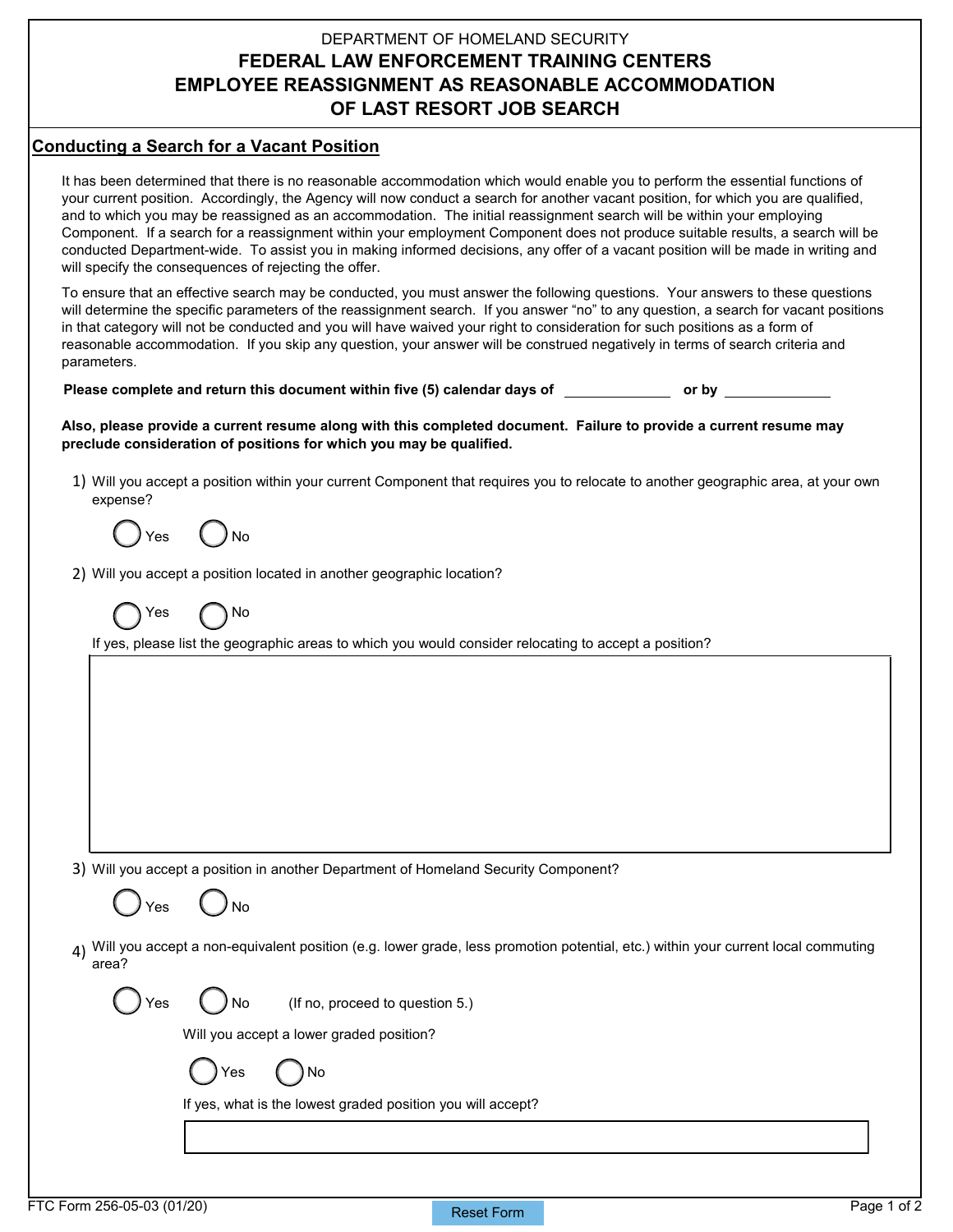## DEPARTMENT OF HOMELAND SECURITY **FEDERAL LAW ENFORCEMENT TRAINING CENTERS EMPLOYEE REASSIGNMENT AS REASONABLE ACCOMMODATION OF LAST RESORT JOB SEARCH**

## **Conducting a Search for a Vacant Position**

It has been determined that there is no reasonable accommodation which would enable you to perform the essential functions of your current position. Accordingly, the Agency will now conduct a search for another vacant position, for which you are qualified, and to which you may be reassigned as an accommodation. The initial reassignment search will be within your employing Component. If a search for a reassignment within your employment Component does not produce suitable results, a search will be conducted Department-wide. To assist you in making informed decisions, any offer of a vacant position will be made in writing and will specify the consequences of rejecting the offer.

To ensure that an effective search may be conducted, you must answer the following questions. Your answers to these questions will determine the specific parameters of the reassignment search. If you answer "no" to any question, a search for vacant positions in that category will not be conducted and you will have waived your right to consideration for such positions as a form of reasonable accommodation. If you skip any question, your answer will be construed negatively in terms of search criteria and parameters.

**Please complete and return this document within five (5) calendar days of or by** 

**Also, please provide a current resume along with this completed document. Failure to provide a current resume may preclude consideration of positions for which you may be qualified.** 

1) Will you accept a position within your current Component that requires you to relocate to another geographic area, at your own expense?

 $Y$ es

2) Will you accept a position located in another geographic location?

Yes *(N*No

If yes, please list the geographic areas to which you would consider relocating to accept a position?

3) Will you accept a position in another Department of Homeland Security Component?

Yes ( *)* No

4) Will you accept a non-equivalent position (e.g. lower grade, less promotion potential, etc.) within your current local commuting area?

 $Yes \t N$ o (If no, proceed to question 5.)

Will you accept a lower graded position?

Yes ( )No

If yes, what is the lowest graded position you will accept?